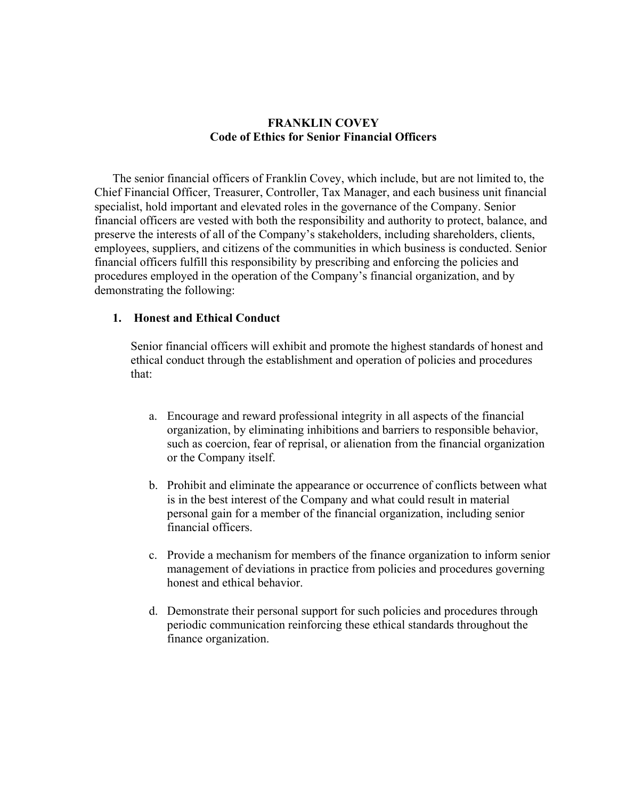## **FRANKLIN COVEY Code of Ethics for Senior Financial Officers**

The senior financial officers of Franklin Covey, which include, but are not limited to, the Chief Financial Officer, Treasurer, Controller, Tax Manager, and each business unit financial specialist, hold important and elevated roles in the governance of the Company. Senior financial officers are vested with both the responsibility and authority to protect, balance, and preserve the interests of all of the Company's stakeholders, including shareholders, clients, employees, suppliers, and citizens of the communities in which business is conducted. Senior financial officers fulfill this responsibility by prescribing and enforcing the policies and procedures employed in the operation of the Company's financial organization, and by demonstrating the following:

## **1. Honest and Ethical Conduct**

Senior financial officers will exhibit and promote the highest standards of honest and ethical conduct through the establishment and operation of policies and procedures that:

- a. Encourage and reward professional integrity in all aspects of the financial organization, by eliminating inhibitions and barriers to responsible behavior, such as coercion, fear of reprisal, or alienation from the financial organization or the Company itself.
- b. Prohibit and eliminate the appearance or occurrence of conflicts between what is in the best interest of the Company and what could result in material personal gain for a member of the financial organization, including senior financial officers.
- c. Provide a mechanism for members of the finance organization to inform senior management of deviations in practice from policies and procedures governing honest and ethical behavior.
- d. Demonstrate their personal support for such policies and procedures through periodic communication reinforcing these ethical standards throughout the finance organization.